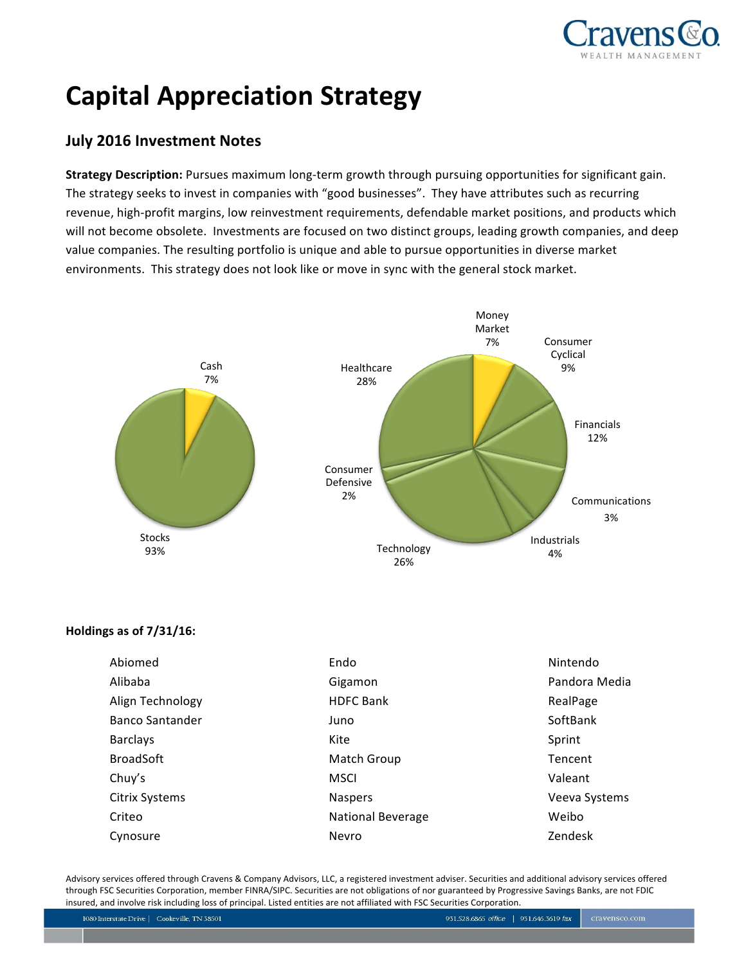

# **Capital Appreciation Strategy**

# **July 2016 Investment Notes**

**Strategy Description:** Pursues maximum long-term growth through pursuing opportunities for significant gain. The strategy seeks to invest in companies with "good businesses". They have attributes such as recurring revenue, high-profit margins, low reinvestment requirements, defendable market positions, and products which will not become obsolete. Investments are focused on two distinct groups, leading growth companies, and deep value companies. The resulting portfolio is unique and able to pursue opportunities in diverse market environments. This strategy does not look like or move in sync with the general stock market.



# **Holdings as of 7/31/16:**

| Abiomed                | Endo                     | Nintendo      |
|------------------------|--------------------------|---------------|
| Alibaba                | Gigamon                  | Pandora Media |
| Align Technology       | <b>HDFC Bank</b>         | RealPage      |
| <b>Banco Santander</b> | Juno                     | SoftBank      |
| <b>Barclays</b>        | Kite                     | Sprint        |
| <b>BroadSoft</b>       | Match Group              | Tencent       |
| Chuy's                 | <b>MSCI</b>              | Valeant       |
| <b>Citrix Systems</b>  | <b>Naspers</b>           | Veeva Systems |
| Criteo                 | <b>National Beverage</b> | Weibo         |
| Cynosure               | Nevro                    | Zendesk       |

Advisory services offered through Cravens & Company Advisors, LLC, a registered investment adviser. Securities and additional advisory services offered through FSC Securities Corporation, member FINRA/SIPC. Securities are not obligations of nor guaranteed by Progressive Savings Banks, are not FDIC insured, and involve risk including loss of principal. Listed entities are not affiliated with FSC Securities Corporation.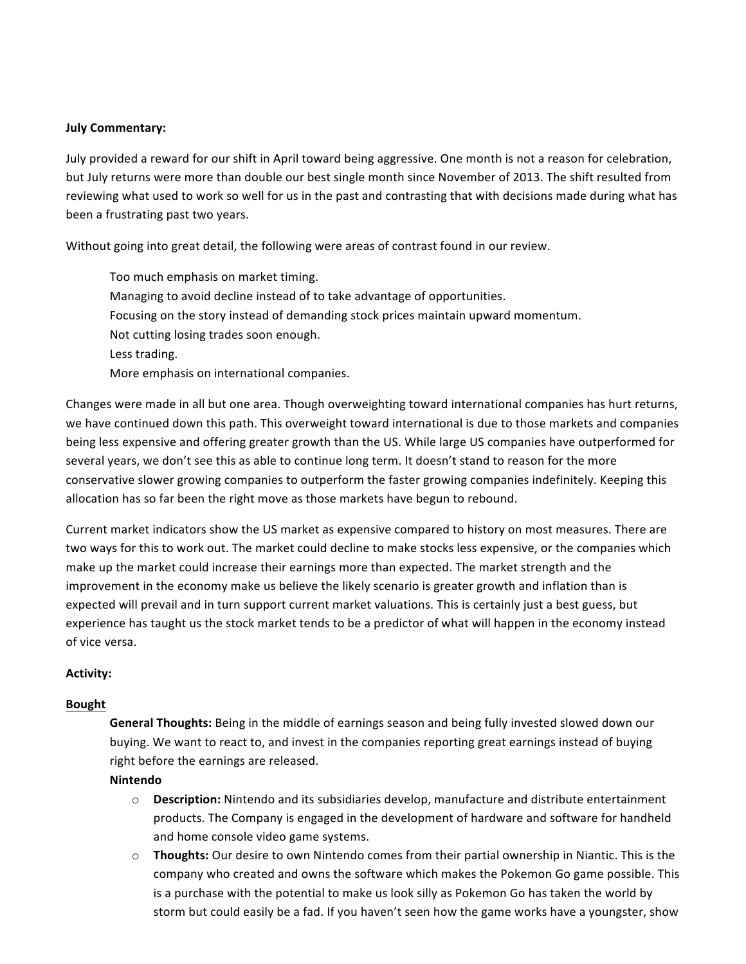#### **July Commentary:**

July provided a reward for our shift in April toward being aggressive. One month is not a reason for celebration, but July returns were more than double our best single month since November of 2013. The shift resulted from reviewing what used to work so well for us in the past and contrasting that with decisions made during what has been a frustrating past two years.

Without going into great detail, the following were areas of contrast found in our review.

 Too much emphasis on market timing. Managing to avoid decline instead of to take advantage of opportunities. Focusing on the story instead of demanding stock prices maintain upward momentum. Not cutting losing trades soon enough. Less trading. More emphasis on international companies.

Changes were made in all but one area. Though overweighting toward international companies has hurt returns, we have continued down this path. This overweight toward international is due to those markets and companies being less expensive and offering greater growth than the US. While large US companies have outperformed for several years, we don't see this as able to continue long term. It doesn't stand to reason for the more conservative slower growing companies to outperform the faster growing companies indefinitely. Keeping this allocation has so far been the right move as those markets have begun to rebound.

Current market indicators show the US market as expensive compared to history on most measures. There are two ways for this to work out. The market could decline to make stocks less expensive, or the companies which make up the market could increase their earnings more than expected. The market strength and the improvement in the economy make us believe the likely scenario is greater growth and inflation than is expected will prevail and in turn support current market valuations. This is certainly just a best guess, but experience has taught us the stock market tends to be a predictor of what will happen in the economy instead of vice versa.

# **Activity:**

# **Bought**

 **General Thoughts:** Being in the middle of earnings season and being fully invested slowed down our buying. We want to react to, and invest in the companies reporting great earnings instead of buying right before the earnings are released.

# **Nintendo**

- o **Description:** Nintendo and its subsidiaries develop, manufacture and distribute entertainment products. The Company is engaged in the development of hardware and software for handheld and home console video game systems.
- o **Thoughts:** Our desire to own Nintendo comes from their partial ownership in Niantic. This is the company who created and owns the software which makes the Pokemon Go game possible. This is a purchase with the potential to make us look silly as Pokemon Go has taken the world by storm but could easily be a fad. If you haven't seen how the game works have a youngster, show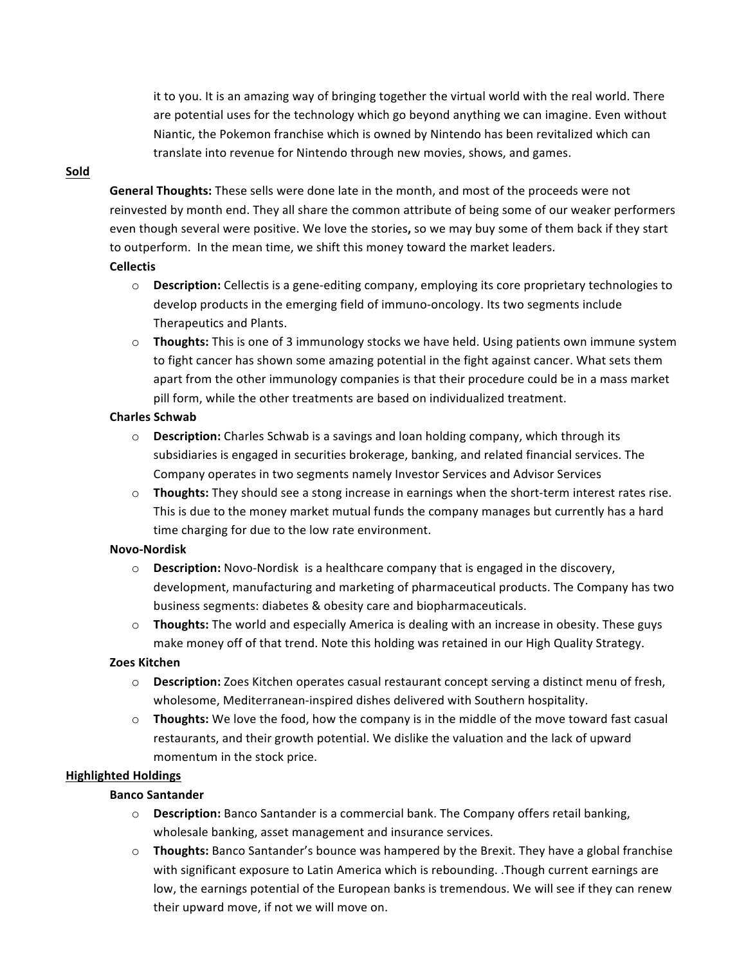it to you. It is an amazing way of bringing together the virtual world with the real world. There are potential uses for the technology which go beyond anything we can imagine. Even without Niantic, the Pokemon franchise which is owned by Nintendo has been revitalized which can translate into revenue for Nintendo through new movies, shows, and games.

# **Sold**

 **General Thoughts:** These sells were done late in the month, and most of the proceeds were not reinvested by month end. They all share the common attribute of being some of our weaker performers even though several were positive. We love the stories**,** so we may buy some of them back if they start to outperform. In the mean time, we shift this money toward the market leaders.

#### **Cellectis**

- o **Description:** Cellectis is a gene-editing company, employing its core proprietary technologies to develop products in the emerging field of immuno-oncology. Its two segments include Therapeutics and Plants.
- o **Thoughts:** This is one of 3 immunology stocks we have held. Using patients own immune system to fight cancer has shown some amazing potential in the fight against cancer. What sets them apart from the other immunology companies is that their procedure could be in a mass market pill form, while the other treatments are based on individualized treatment.

# **Charles Schwab**

- o **Description:** Charles Schwab is a savings and loan holding company, which through its subsidiaries is engaged in securities brokerage, banking, and related financial services. The Company operates in two segments namely Investor Services and Advisor Services
- o **Thoughts:** They should see a stong increase in earnings when the short-term interest rates rise. This is due to the money market mutual funds the company manages but currently has a hard time charging for due to the low rate environment.

# **Novo-Nordisk**

- o **Description:** Novo-Nordisk is a healthcare company that is engaged in the discovery, development, manufacturing and marketing of pharmaceutical products. The Company has two business segments: diabetes & obesity care and biopharmaceuticals.
- o **Thoughts:** The world and especially America is dealing with an increase in obesity. These guys make money off of that trend. Note this holding was retained in our High Quality Strategy.

# **Zoes Kitchen**

- o **Description:** Zoes Kitchen operates casual restaurant concept serving a distinct menu of fresh, wholesome, Mediterranean-inspired dishes delivered with Southern hospitality.
- o **Thoughts:** We love the food, how the company is in the middle of the move toward fast casual restaurants, and their growth potential. We dislike the valuation and the lack of upward momentum in the stock price.

# **Highlighted Holdings**

# **Banco Santander**

- o **Description:** Banco Santander is a commercial bank. The Company offers retail banking, wholesale banking, asset management and insurance services.
- o **Thoughts:** Banco Santander's bounce was hampered by the Brexit. They have a global franchise with significant exposure to Latin America which is rebounding. .Though current earnings are low, the earnings potential of the European banks is tremendous. We will see if they can renew their upward move, if not we will move on.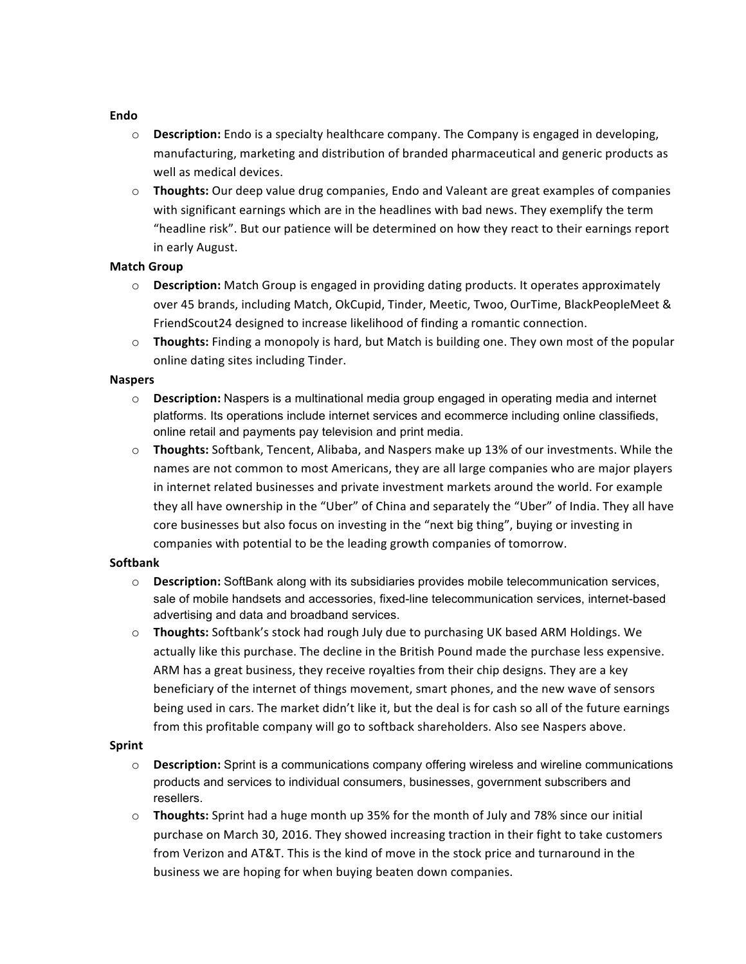#### **Endo**

- o **Description:** Endo is a specialty healthcare company. The Company is engaged in developing, manufacturing, marketing and distribution of branded pharmaceutical and generic products as well as medical devices.
- o **Thoughts:** Our deep value drug companies, Endo and Valeant are great examples of companies with significant earnings which are in the headlines with bad news. They exemplify the term "headline risk". But our patience will be determined on how they react to their earnings report in early August.

#### **Match Group**

- o **Description:** Match Group is engaged in providing dating products. It operates approximately over 45 brands, including Match, OkCupid, Tinder, Meetic, Twoo, OurTime, BlackPeopleMeet & FriendScout24 designed to increase likelihood of finding a romantic connection.
- o **Thoughts:** Finding a monopoly is hard, but Match is building one. They own most of the popular online dating sites including Tinder.

#### **Naspers**

- o **Description:** Naspers is a multinational media group engaged in operating media and internet platforms. Its operations include internet services and ecommerce including online classifieds, online retail and payments pay television and print media.
- o **Thoughts:** Softbank, Tencent, Alibaba, and Naspers make up 13% of our investments. While the names are not common to most Americans, they are all large companies who are major players in internet related businesses and private investment markets around the world. For example they all have ownership in the "Uber" of China and separately the "Uber" of India. They all have core businesses but also focus on investing in the "next big thing", buying or investing in companies with potential to be the leading growth companies of tomorrow.

#### **Softbank**

- o **Description:** SoftBank along with its subsidiaries provides mobile telecommunication services, sale of mobile handsets and accessories, fixed-line telecommunication services, internet-based advertising and data and broadband services.
- o **Thoughts:** Softbank's stock had rough July due to purchasing UK based ARM Holdings. We actually like this purchase. The decline in the British Pound made the purchase less expensive. ARM has a great business, they receive royalties from their chip designs. They are a key beneficiary of the internet of things movement, smart phones, and the new wave of sensors being used in cars. The market didn't like it, but the deal is for cash so all of the future earnings from this profitable company will go to softback shareholders. Also see Naspers above.

#### **Sprint**

- o **Description:** Sprint is a communications company offering wireless and wireline communications products and services to individual consumers, businesses, government subscribers and resellers.
- o **Thoughts:** Sprint had a huge month up 35% for the month of July and 78% since our initial purchase on March 30, 2016. They showed increasing traction in their fight to take customers from Verizon and AT&T. This is the kind of move in the stock price and turnaround in the business we are hoping for when buying beaten down companies.